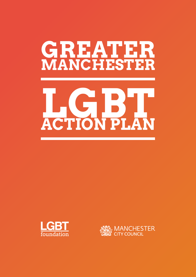# **GREATER MANCHESTER**

# **LGBT ACTION PLAN**



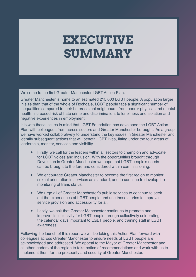# **EXECUTIVE SUMMARY**

Welcome to the first Greater Manchester LGBT Action Plan.

Greater Manchester is home to an estimated 215,000 LGBT people. A population larger in size than that of the whole of Rochdale, LGBT people face a significant number of inequalities compared to their heterosexual neighbours; from poorer physical and mental health, increased risk of hate crime and discrimination, to loneliness and isolation and negative experiences in employment.

It is with these issues in mind that LGBT Foundation has developed the LGBT Action Plan with colleagues from across sectors and Greater Manchester boroughs. As a group we have worked collaboratively to understand the key issues in Greater Manchester and identify subsequent actions that will benefit LGBT lives, fitting under the four areas of leadership, monitor, services and visibility.

- Firstly, we call for the leaders within all sectors to champion and advocate for LGBT voices and inclusion. With the opportunities brought through Devolution in Greater Manchester we hope that LGBT people's needs can be brought to the fore and considered within commissioning.
- $\blacktriangleright$  We encourage Greater Manchester to become the first region to monitor sexual orientation in services as standard, and to continue to develop the monitoring of trans status.
- f We urge all of Greater Manchester's public services to continue to seek out the experiences of LGBT people and use these stories to improve service provision and accessibility for all.
- $\blacktriangleright$  Lastly, we ask that Greater Manchester continues to promote and improve its inclusivity for LGBT people through collectively celebrating the calendar days important to LGBT people, and training staff in LGBT awareness.

Following the launch of this report we will be taking this Action Plan forward with colleagues across Greater Manchester to ensure needs of LGBT people are acknowledged and addressed. We appeal to the Mayor of Greater Manchester and all other leaders of the region to take notice of recommendations and work with us to implement them for the prosperity and security of Greater Manchester.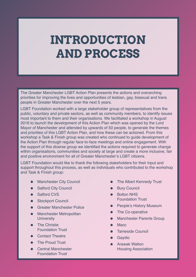# **INTRODUCTION AND PROCESS**

The Greater Manchester LGBT Action Plan presents the actions and overarching priorities for improving the lives and opportunities of lesbian, gay, bisexual and trans people in Greater Manchester over the next 5 years.

LGBT Foundation worked with a large stakeholder group of representatives from the public, voluntary and private sectors, as well as community members, to identify issues most important to them and their organisations. We facilitated a workshop in August 2016 to launch the development of this Action Plan which was opened by the Lord Mayor of Manchester and attended by upwards of 50 people, to generate the themes and priorities of this LGBT Action Plan, and how these can be actioned. From this workshop a Task & Finish group was created who continued to guide development of the Action Plan through regular face-to-face meetings and online engagement. With the support of this diverse group we identified the actions required to generate change within organisations, communities and society at large and create a more inclusive, fair and positive environment for all of Greater Manchester's LGBT citizens.

LGBT Foundation would like to thank the following stakeholders for their input and support throughout this process, as well as individuals who contributed to the workshop and Task & Finish group:

- Manchester City Council
- Salford City Council
- Salford CVS
- Stockport Council
- Greater Manchester Police
- **•** Manchester Metropolitan **University**
- The Christie Foundation Trust
- Contact Theatre
- The Proud Trust
- Central Manchester Foundation Trust
- The Albert Kennedy Trust
- **•** Bury Council
- Bolton NHS Foundation Trust
- People's History Museum
- The Co-operative
- **Manchester Parents Group**
- Macc.
- Tameside Council
- Gaydio
- Arawak Walton Housing Association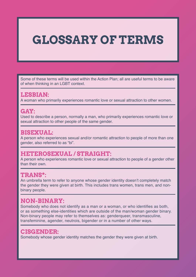# **GLOSSARY OF TERMS**

Some of these terms will be used within the Action Plan; all are useful terms to be aware of when thinking in an LGBT context.

#### **LESBIAN:**

A woman who primarily experiences romantic love or sexual attraction to other women.

#### **GAY:**

Used to describe a person, normally a man, who primarily experiences romantic love or sexual attraction to other people of the same gender.

#### **BISEXUAL:**

A person who experiences sexual and/or romantic attraction to people of more than one gender, also referred to as "bi".

#### **HETEROSEXUAL / STRAIGHT:**

A person who experiences romantic love or sexual attraction to people of a gender other than their own.

#### **TRANS\*:**

An umbrella term to refer to anyone whose gender identity doesn't completely match the gender they were given at birth. This includes trans women, trans men, and nonbinary people.

#### **NON-BINARY:**

Somebody who does not identify as a man or a woman, or who identifies as both, or as something else-identities which are outside of the man/woman gender binary. Non-binary people may refer to themselves as: genderqueer, transmasculine, transfeminine, agender, neutrois, bigender or in a number of other ways.

#### **CISGENDER:**

Somebody whose gender identity matches the gender they were given at birth.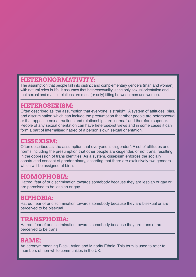#### **HETERONORMATIVITY:**

The assumption that people fall into distinct and complementary genders (man and woman) with natural roles in life. It assumes that heterosexuality is the only sexual orientation and that sexual and marital relations are most (or only) fitting between men and women.

#### **HETEROSEXISM:**

Often described as 'the assumption that everyone is straight.' A system of attitudes, bias, and discrimination which can include the presumption that other people are heterosexual or that opposite-sex attractions and relationships are 'normal' and therefore superior. People of any sexual orientation can have heterosexist views and in some cases it can form a part of internalised hatred of a person's own sexual orientation.

#### **CISSEXISM:**

Often described as 'the assumption that everyone is cisgender'. A set of attitudes and norms including the presumption that other people are cisgender, or not trans, resulting in the oppression of trans identities. As a system, cissexism enforces the socially constructed concept of gender binary, asserting that there are exclusively two genders which will be assigned at birth.

### **HOMOPHOBIA:**

Hatred, fear of or discrimination towards somebody because they are lesbian or gay or are perceived to be lesbian or gay.

#### **BIPHOBIA:**

Hatred, fear of or discrimination towards somebody because they are bisexual or are perceived to be bisexual.

#### **TRANSPHOBIA:**

Hatred, fear of or discrimination towards somebody because they are trans or are perceived to be trans.

#### **BAME:**

An acronym meaning Black, Asian and Minority Ethnic. This term is used to refer to members of non-white communities in the UK.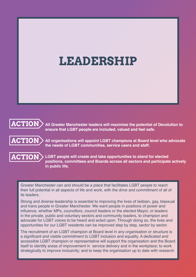# **LEADERSHIP**



**All Greater Manchester leaders will maximise the potential of Devolution to ensure that LGBT people are included, valued and feel safe.** 



**All organisations will appoint LGBT champions at Board level who advocate the needs of LGBT communities, service users and staff.**



**LGBT people will create and take opportunities to stand for elected positions, committees and Boards across all sectors and participate actively in public life.**

Greater Manchester can and should be a place that facilitates LGBT people to reach their full potential in all aspects of life and work, with the drive and commitment of all of its leaders.

Strong and diverse leadership is essential to improving the lives of lesbian, gay, bisexual and trans people in Greater Manchester. We want people in positions of power and influence, whether MPs, councillors, council leaders or the elected Mayor, or leaders in the private, public and voluntary sectors and community leaders, to champion and advocate for LGBT voices to be heard and acted upon. Through doing so, the lives and opportunities for our LGBT residents can be improved step by step, sector by sector.

The recruitment of an LGBT champion at Board level in any organisation or structure is a significant and visible commitment to LGBT inclusion and equality. A dedicated and accessible LGBT champion or representative will support the organisation and the Board itself to identify areas of improvement in service delivery and in the workplace; to work strategically to improve inclusivity; and to keep the organisation up to date with research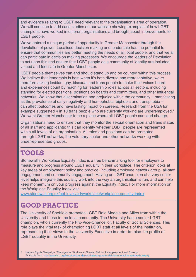and evidence relating to LGBT need relevant to the organisation's area of operation. We will continue to add case studies on our website showing examples of how LGBT champions have worked in different organisations and brought about improvements for LGBT people.

We've entered a unique period of opportunity in Greater Manchester through the devolution of power. Localised decision making and leadership has the potential to ensure that communities are better meeting the needs of all local people, and that we all can participate in decision making processes. We encourage the leaders of Devolution to act upon this and ensure that LGBT people as a community of identity are included, valued and feel safe in Greater Manchester.

LGBT people themselves can and should stand up and be counted within this process. We believe that leadership is best when it's both diverse and representative; we're therefore asking lesbian, gay, bisexual and trans people to make their voices heard and experiences count by reaching for leadership roles across all sectors, including standing for elected positions, positions on boards and committees, and other influential networks. We know that discrimination and prejudice within the community – manifesting as the prevalence of daily negativity and homophobia, biphobia and transphobia – can affect outcomes and have lasting impact on careers. Research from the USA for example suggested 4 in 10 trans people who are currently working are underemployed.<sup>1</sup> We want Greater Manchester to be a place where all LGBT people can lead change.

Organisations need to ensure that they monitor the sexual orientation and trans status of all staff and applicants; this can identify whether LGBT people are represented within all levels of an organisation. All roles and positions can be promoted through LGBT networks, the voluntary sector and other networks working with underrepresented groups.

### **TOOLS**

Stonewall's Workplace Equality Index is a free benchmarking tool for employers to measure and progress around LGBT equality in their workplace. The criterion looks at key areas of employment policy and practice, including employee network group, all-staff engagement and community engagement. Having an LGBT champion at a very senior level helps integrate this equality work into the way an organisation is run, and can help keep momentum on your progress against the Equality Index. For more information on the Workplace Equality Index visit:

[www.stonewall.org.uk/get-involved/workplace/workplace-equality-index](http://www.stonewall.org.uk/get-involved/workplace/workplace-equality-index
)

### **GOOD PRACTICE**

The University of Sheffield promotes LGBT Role Models and Allies from within the University and those in the local community. The University has a senior LGBT champion, who's currently the Pro-Vice-Chancellor, Faculty of Social Sciences. This role plays the vital task of championing LGBT staff at all levels of the institution, representing their views to the University Executive in order to raise the profile of LGBT equality in the University.

1 Human Rights Campaign, 'Transgender Workers at Greater Risk for Unemployment and Poverty'. Available from:<http://www.hrc.org/blog/transgender-workers-at-greater-risk-for-unemployment-and-poverty>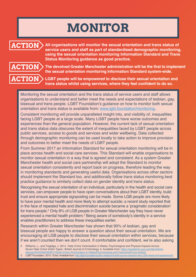# **MONITOR**



**All organisations will monitor the sexual orientation and trans status of service users and staff as part of standardised demographic monitoring, using the sexual orientation monitoring Information Standard and Trans Status Monitoring guidance as good practice.** 



**The devolved Greater Manchester administration will be the first to implement the sexual orientation monitoring Information Standard system‑wide.**

**LGBT people will be empowered to disclose their sexual orientation and trans status whilst using services, where they feel confident to do so.** 

Monitoring the sexual orientation and the trans status of service users and staff allows organisations to understand and better meet the needs and expectations of lesbian, gay, bisexual and trans people. LGBT Foundation's guidance on how to monitor both sexual orientation and trans status is available from: [www.lgbt.foundation/monitoring.](http://www.lgbt.foundation/monitoring)

Consistent monitoring will provide unparalleled insight into, and visibility of, inequalities facing LGBT people at a large scale. Many LGBT people have worse outcomes and experiences than the general population. However, the current lack of sexual orientation and trans status data obscures the extent of inequalities faced by LGBT people across public services, access to goods and services and wider wellbeing. Data collected through demographic monitoring can be used locally to take action to improve provision and outcomes to better meet the needs of LGBT people.

From Summer 2017 an Information Standard for sexual orientation monitoring will be in place across health and social care services. This Standard will enable organisations to monitor sexual orientation in a way that is agreed and consistent. As a system Greater Manchester health and social care partnership will adopt the Standard to monitor sexual orientation consistently and report back on progress, therefore leading the way in monitoring standards and generating useful data. Organisations across other sectors should implement the Standard too, and additionally follow trans status monitoring best practice guidance to similarly collect data on gender identity and trans status.

Recognising the sexual orientation of an individual, particularly in the health and social care services, can empower people to have open conversations about their LGBT identity, build trust and ensure appropriate signposting can be made. Some LGB people are more likely to have poor mental health and more likely to attempt suicide; a recent study reported that in the face of repeated hate and discrimination suicide became a 'pragmatic consideration' for trans people.<sup>2</sup> Only 8% of LGB people in Greater Manchester say they have never experienced a mental health problem.<sup>3</sup> Being aware of somebody's identity in a service enables practitioners to address these inequalities earlier.

Research within Greater Manchester has shown that 90% of lesbian, gay and bisexual people are happy to answer a question about their sexual orientation. We are encouraging all LGB people to disclose their sexual orientation within services, because if we aren't counted then we don't count. If comfortable and confident, we're also asking

<sup>2</sup> Williams, L., and Tregidga, J. 2014. 'Hate Crime Victimisation in Wales: Psychological and Physical Impacts Across Seven Hate Crime Victim Types'. British Journal of Criminology, 5. Available from: [https://academic.oup.com/bjc/article](https://academic.oup.com/bjc/article-abstract/54/5/946/359971/Hate-Crime-Victimization-in-WalesPsychological-and?redirectedFrom=fulltext)[abstract/54/5/946/359971/Hate-Crime-Victimization-in-WalesPsychological-and?redirectedFrom=fulltext](https://academic.oup.com/bjc/article-abstract/54/5/946/359971/Hate-Crime-Victimization-in-WalesPsychological-and?redirectedFrom=fulltext)

LGBT Foundation. 2012. I Exist. Available from:<http://lgbt.foundation/policy-research/i-exist-survey-research-into-LGB-needs-and-experiences/>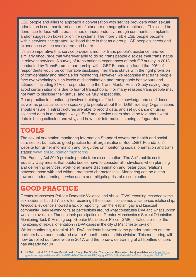LGB people and allies to approach a conversation with service providers when sexual orientation is not monitored as part of standard demographic monitoring. This could be done face-to-face with a practitioner, or independently through comments, complaints and/or suggestion boxes or online systems. The more visible LGB people become within services, the greater likelihood there is that as a group LGB people's needs and experiences will be considered and heard.

It's also imperative that service providers monitor trans people's existence, and we similarly encourage that wherever able to do so, trans people disclose their trans status in relevant services. A survey of trans patients experiences of their GP survey in 2013 conducted by TransForum in partnership with LGBT Foundation found that 90% of respondents would be comfortable disclosing their trans status with the right provision of confidentiality and rationale for monitoring. However, we recognise that trans people face overwhelmingly high levels of discrimination and transphobic behaviours and attitudes, including 81% of respondents to the Trans Mental Health Study saying they avoid certain situations due to fear of transphobia.<sup>4</sup> For many reasons trans people may not want to disclose their status, and we fully respect this.

Good practice in monitoring involves training staff to build knowledge and confidence, as well as practical skills on speaking to people about their LGBT identity. Organisations should ensure IT infrastructures are able to record data, and set guidance on using collected data in meaningful ways. Staff and service users should be told about what data is being collected and why, and how their information is being safeguarded.

### **TOOLS**

The sexual orientation monitoring Information Standard covers the health and social care sector, but acts as good practice for all organisations. See LGBT Foundation's website for further information and for guides on monitoring sexual orientation and trans status: www.lgbt.foundation/monitoring

The Equality Act 2010 protects people from discrimination. The Act's public sector Equality Duty means that public bodies have to consider all individuals when planning and delivering services, work to eliminate discrimination and foster good relations between those with and without protected characteristics. Monitoring can be a step towards understanding service users and mitigating risk of discrimination.

### **GOOD PRACTICE**

Greater Manchester Police's Domestic Violence and Abuse (DVA) reporting recorded samesex incidents, but didn't allow for recording if the incident concerned a same-sex relationship. Anecdotal evidence showed a lack of reporting from the lesbian, gay and bisexual community, likely relating to false perceptions around what constitutes DVA and what support would be available. Through their participation on Greater Manchester's Sexual Orientation Monitoring Task & Finish group, Greater Manchester Police (GMP) initiated a pilot for the monitoring of sexual orientation in DVA cases in the city of Manchester division.

Whilst monitoring, a total of 101 DVA incidents between same gender partners and expartners have been captured over a 6 month period in this division. This monitoring will now be rolled out force-wide in 2017, and the force-wide training of all frontline officers has already begun.

McNeil, J. et al. 2012. Trans Mental Health Study. The Scottish Transgender Alliance [no place]. Available from: https://docs. google.com/spreadsheets/d/1g2w8PEWb88z0W-WfeX5dPZCaig1gtXFQi0u0JBpIOos/edit?ts=57adc254#gid=206414510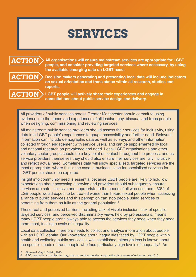# **SERVICES**



**All organisations will ensure mainstream services are appropriate for LGBT people, and consider providing targeted services where necessary, by using the available emerging data on LGBT need.**



**Decision makers generating and presenting local data will include indicators on sexual orientation and trans status within all research, studies and reports.**

**ACTION**

**LGBT people will actively share their experiences and engage in consultations about public service design and delivery.**

All providers of public services across Greater Manchester should commit to using evidence into the needs and experiences of all lesbian, gay, bisexual and trans people when designing, commissioning and reviewing services.

All mainstream public service providers should assess their services for inclusivity, using data into LGBT people's experiences to gauge accessibility and further need. Relevant information can include demographic data as well as surveys and other information collected through engagement with service users, and can be supplemented by local and national research on prevalence and need. Local LGBT organisations and other voluntary sector groups should be a key point of contact throughout the process, and as service providers themselves they should also ensure their services are fully inclusive and reflect actual need. Sometimes data will show specialised, targeted services are the most appropriate; where this is the case, a business case for specialised services for LGBT people should be explored.

Insight into community need is essential because LGBT people are likely to hold low expectations about accessing a service and providers should subsequently ensure services are safe, inclusive and appropriate to the needs of all who use them. 30% of LGB people would expect to be treated worse than heterosexual people when accessing a range of public services and this perception can stop people using services or benefitting from them as fully as the general population.<sup>5</sup>

These real and perceived barriers, including lack of visible inclusion, lack of specific, targeted services, and perceived discriminatory views held by professionals, means many LGBT people aren't always able to access the services they need when they need them most, fuelling a cycle of inequality.

Local data collection therefore needs to collect and analyse information about people with an LGBT identity. Our knowledge about inequalities faced by LGBT people within health and wellbeing public services is well established, although less is known about the specific needs of trans people who face particularly high levels of inequality.<sup>6</sup> As

6 GEO, 'Inequality among lesbian, gay, bisexual and transgender groups in the UK: a review of evidence', July 2016.

Stonewall, Gay In Britain, 2013.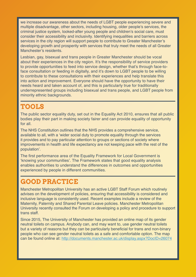we increase our awareness about the needs of LGBT people experiencing severe and multiple disadvantage, other sectors, including housing, older people's services, the criminal justice system, looked-after young people and children's social care, must consider their accessibility and inclusivity. Identifying inequalities and barriers across services in the city region will support people to contribute to Greater Manchester's developing growth and prosperity with services that truly meet the needs of all Greater Manchester's residents.

Lesbian, gay, bisexual and trans people in Greater Manchester should be vocal about their experiences in the city region. It's the responsibility of service providers to provide opportunities to feed into service design, whether that's through face-toface consultation or feeding in digitally, and it's down to LGBT people to be willing to contribute to these consultations with their experiences and help translate this into action and improvement. Everyone should have the opportunity to have their needs heard and taken account of, and this is particularly true for traditionally underrepresented groups including bisexual and trans people, and LGBT people from minority ethnic backgrounds.

### **TOOLS**

The public sector equality duty, set out in the Equality Act 2010, ensures that all public bodies play their part in making society fairer and can provide equality of opportunity for all.

The NHS Constitution outlines that the NHS provides a comprehensive service, available to all, with a 'wider social duty to promote equality through the services it provides and to pay particular attention to groups or sections of society where improvements in health and life expectancy are not keeping pace with the rest of the population'.

The first performance area of the Equality Framework for Local Government is 'knowing your communities'. The Framework states that good equality analysis enables authorities to understand the differences in outcomes and opportunities experienced by people in different communities.

### **GOOD PRACTICE**

Manchester Metropolitan University has an active LGBT Staff Forum which routinely advises on the development of policies, ensuring that accessibility is considered and inclusive language is consistently used. Recent examples include a review of the Maternity, Paternity and Shared Parental Leave policies. Manchester Metropolitan University recently consulted the Forum on developing a policy and procedure to support trans staff.

Since 2015, The University of Manchester has provided an online map of its gender neutral toilets on campus. Anybody can, and may want to, use gender neutral toilets but a variety of reasons but they can be particularly beneficial for trans and non-binary people who can see gender neutral toilets as a safe and comfortable option. The map can be found online at:<http://documents.manchester.ac.uk/display.aspx?DocID=26074>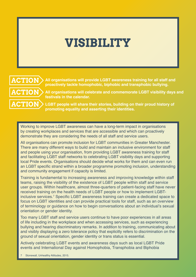# **VISIBILITY**



**All organisations will provide LGBT awareness training for all staff and proactively tackle homophobic, biphobic and transphobic bullying.**

**All organisations will celebrate and commemorate LGBT visibility days and festivals in the calendar.**

**LGBT people will share their stories, building on their proud history of promoting equality and asserting their identities.**

Working to improve LGBT awareness can have a long-term impact in organisations by creating workplaces and services that are accessible and which can proactively demonstrate they are considering the needs of all staff and service users.

All organisations can promote inclusion for LGBT communities in Greater Manchester. There are many different ways to build and maintain an inclusive environment for staff and people using your organisation, from providing LGBT awareness training for staff and facilitating LGBT staff networks to celebrating LGBT visibility days and supporting local Pride events. Organisations should decide what works for them and can even run an LGBT specific strand within a broader programme promoting inclusion, understanding and community engagement if capacity is limited.

Training is fundamental to increasing awareness and improving knowledge within staff teams, raising the visibility of the existence of LGBT people within staff and service user groups. Within healthcare, almost three-quarters of patient-facing staff have never received training on the health needs of LGBT people or how to implement LGBTinclusive services.7 Specific LGBT awareness training can create a dedicated space to focus on LGBT identities and can provide practical tools for staff, such as an overview of terminology or guidance on how to begin conversations about an individual's sexual orientation or gender identity.

Too many LGBT staff and service users continue to have poor experiences in all areas of life including in the workplace and when accessing services, such as experiencing bullying and hearing discriminatory remarks. In addition to training, communicating about and visibly displaying a zero tolerance policy that explicitly refers to discrimination on the ground of sexual orientation, gender identity or trans status is essential.

Actively celebrating LGBT events and awareness days such as local LGBT Pride events and International Day against Homophobia, Transphobia and Biphobia

Stonewall, Unhealthy Attitudes, 2015.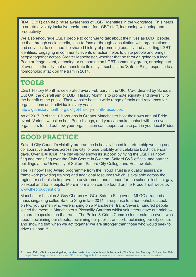(IDAHOBIT) can help raise awareness of LGBT identities in the workplace. This helps to create a visibly inclusive environment for LGBT staff, increasing wellbeing and productivity.

We also encourage LGBT people to continue to talk about their lives as LGBT people. be that through social media, face-to-face or through consultation with organisations and services, to continue the shared history of promoting equality and asserting LGBT identities. Engaging in community events or action helps to unite people and brings people together across Greater Manchester, whether that be through going to a local Pride or fringe event, attending or supporting an LGBT community group, or being part of events in the city that demonstrate its unity – such as the 'Safe to Sing' response to a homophobic attack on the tram in 2014.

## **TOOLS**

LGBT History Month is celebrated every February in the UK. Co-ordinated by Schools Out UK, the overall aim of LGBT History Month is to promote equality and diversity for the benefit of the public. Their website hosts a wide range of tools and resources for organisations and individuals every year:

[http://lgbthistorymonth.org.uk/lgbt-history-month-resources](http://lgbthistorymonth.org.uk/lgbt-history-month-resources/)

As of 2017, 9 of the 10 boroughs in Greater Manchester host their own annual Pride event. Various websites host Pride listings, and you can make contact with the event organisers to find out how your organisation can support or take part in your local Prides.

## **GOOD PRACTICE**

Salford City Council's visibility programme is heavily based in partnership working and collaborative activities across the city to raise visibility and celebrate LGBT calendar days. Over IDAHOBIT the city visibly shows its support by flying the LGBT rainbow flag and trans flag over the Civic Centre in Swinton, Salford CVS offices, and partner buildings at the University of Salford, Salford City College and Healthwatch.

The Rainbow Flag Award programme from the Proud Trust is a quality assurance framework providing training and additional resources which is available across the region for schools to improve the environment and support for the school's lesbian, gay, bisexual and trans pupils. More information can be found on the Proud Trust website: [www.theproudtrust.org](http://www.theproudtrust.org)

Manchester Lesbian & Gay Chorus (MLGC): Safe to Sing event. MLGC arranged a mass singalong called Safe to Sing in late 2014 in response to a homophobic attack on two young men who were singing on a Manchester tram. Several hundred people joined the event in Manchester's Piccadilly Gardens whilst volunteers gave out rainbow coloured cupcakes on the trams. The Police & Crime Commissioner said the event was about 'reclaiming our streets, reclaiming our public transport, reclaiming our city centre and showing that when we act together we are stronger than those who would seek to drive us apart'.<sup>8</sup>

8 Helen Pidd, 'Choir stages singalong on Manchester trams after homophobic attack', The Guardian, Monday 17 November 2014. <https://www.theguardian.com/uk-news/2014/nov/17/lgbt-choir-stagea-singalong-manchester-trams-homophobic-attack>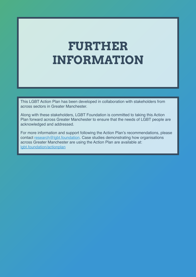# **FURTHER INFORMATION**

This LGBT Action Plan has been developed in collaboration with stakeholders from across sectors in Greater Manchester.

Along with these stakeholders, LGBT Foundation is committed to taking this Action Plan forward across Greater Manchester to ensure that the needs of LGBT people are acknowledged and addressed.

For more information and support following the Action Plan's recommendations, please contact [research@lgbt.foundation.](mailto:research%40lgbt.foundation?subject=) Case studies demonstrating how organisations across Greater Manchester are using the Action Plan are available at: [lgbt.foundation/actionplan](http://lgbt.foundation/actionplan)